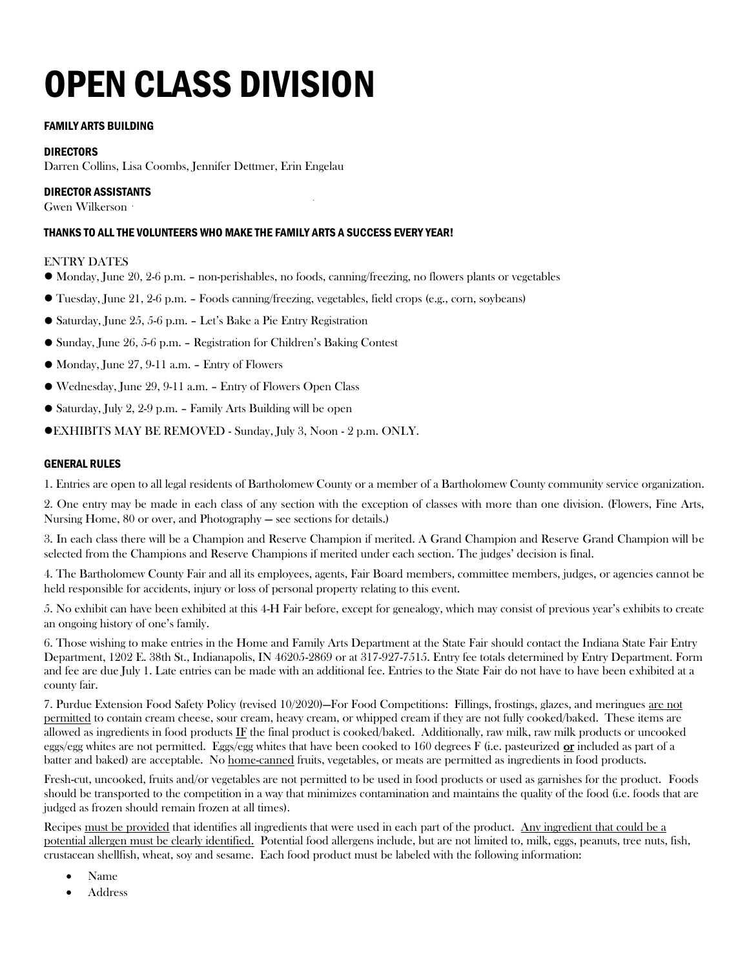# OPEN CLASS DIVISION

#### FAMILY ARTS BUILDING

#### DIRECTORS

Darren Collins, Lisa Coombs, Jennifer Dettmer, Erin Engelau

#### DIRECTOR ASSISTANTS

Gwen Wilkerson

#### THANKS TO ALL THE VOLUNTEERS WHO MAKE THE FAMILY ARTS A SUCCESS EVERY YEAR!

#### ENTRY DATES

- ⚫ Monday, June 20, 2-6 p.m. non-perishables, no foods, canning/freezing, no flowers plants or vegetables
- ⚫ Tuesday, June 21, 2-6 p.m. Foods canning/freezing, vegetables, field crops (e.g., corn, soybeans)
- ⚫ Saturday, June 25, 5-6 p.m. Let's Bake a Pie Entry Registration
- ⚫ Sunday, June 26, 5-6 p.m. Registration for Children's Baking Contest
- ⚫ Monday, June 27, 9-11 a.m. Entry of Flowers
- ⚫ Wednesday, June 29, 9-11 a.m. Entry of Flowers Open Class
- ⚫ Saturday, July 2, 2-9 p.m. Family Arts Building will be open
- ⚫EXHIBITS MAY BE REMOVED Sunday, July 3, Noon 2 p.m. ONLY.

#### GENERAL RULES

1. Entries are open to all legal residents of Bartholomew County or a member of a Bartholomew County community service organization.

2. One entry may be made in each class of any section with the exception of classes with more than one division. (Flowers, Fine Arts, Nursing Home, 80 or over, and Photography — see sections for details.)

3. In each class there will be a Champion and Reserve Champion if merited. A Grand Champion and Reserve Grand Champion will be selected from the Champions and Reserve Champions if merited under each section. The judges' decision is final.

4. The Bartholomew County Fair and all its employees, agents, Fair Board members, committee members, judges, or agencies cannot be held responsible for accidents, injury or loss of personal property relating to this event.

5. No exhibit can have been exhibited at this 4-H Fair before, except for genealogy, which may consist of previous year's exhibits to create an ongoing history of one's family.

6. Those wishing to make entries in the Home and Family Arts Department at the State Fair should contact the Indiana State Fair Entry Department, 1202 E. 38th St., Indianapolis, IN 46205-2869 or at 317-927-7515. Entry fee totals determined by Entry Department. Form and fee are due July 1. Late entries can be made with an additional fee. Entries to the State Fair do not have to have been exhibited at a county fair.

7. Purdue Extension Food Safety Policy (revised 10/2020)—For Food Competitions: Fillings, frostings, glazes, and meringues are not permitted to contain cream cheese, sour cream, heavy cream, or whipped cream if they are not fully cooked/baked. These items are allowed as ingredients in food products IF the final product is cooked/baked. Additionally, raw milk, raw milk products or uncooked eggs/egg whites are not permitted. Eggs/egg whites that have been cooked to  $160$  degrees F (i.e. pasteurized  $or$  included as part of a</u> batter and baked) are acceptable. No home-canned fruits, vegetables, or meats are permitted as ingredients in food products.

Fresh-cut, uncooked, fruits and/or vegetables are not permitted to be used in food products or used as garnishes for the product. Foods should be transported to the competition in a way that minimizes contamination and maintains the quality of the food (i.e. foods that are judged as frozen should remain frozen at all times).

Recipes must be provided that identifies all ingredients that were used in each part of the product. Any ingredient that could be a potential allergen must be clearly identified. Potential food allergens include, but are not limited to, milk, eggs, peanuts, tree nuts, fish, crustacean shellfish, wheat, soy and sesame. Each food product must be labeled with the following information:

- Name
- Address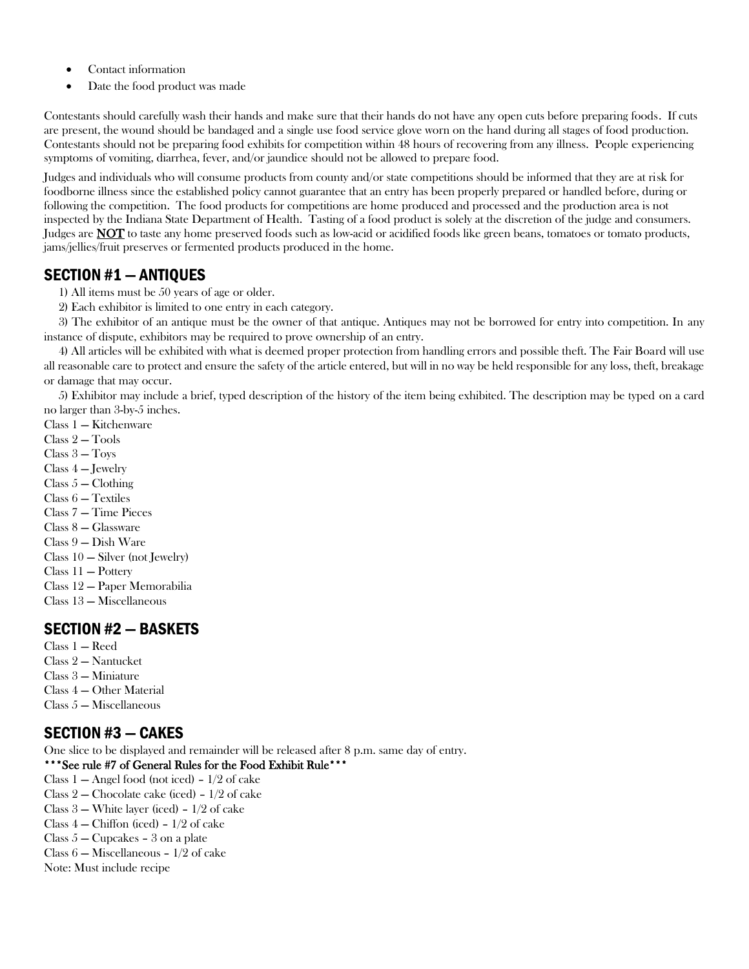- Contact information
- Date the food product was made

Contestants should carefully wash their hands and make sure that their hands do not have any open cuts before preparing foods. If cuts are present, the wound should be bandaged and a single use food service glove worn on the hand during all stages of food production. Contestants should not be preparing food exhibits for competition within 48 hours of recovering from any illness. People experiencing symptoms of vomiting, diarrhea, fever, and/or jaundice should not be allowed to prepare food.

Judges and individuals who will consume products from county and/or state competitions should be informed that they are at risk for foodborne illness since the established policy cannot guarantee that an entry has been properly prepared or handled before, during or following the competition. The food products for competitions are home produced and processed and the production area is not inspected by the Indiana State Department of Health. Tasting of a food product is solely at the discretion of the judge and consumers. Judges are **NOT** to taste any home preserved foods such as low-acid or acidified foods like green beans, tomatoes or tomato products, jams/jellies/fruit preserves or fermented products produced in the home.

### SECTION #1 — ANTIQUES

- 1) All items must be 50 years of age or older.
- 2) Each exhibitor is limited to one entry in each category.

3) The exhibitor of an antique must be the owner of that antique. Antiques may not be borrowed for entry into competition. In any instance of dispute, exhibitors may be required to prove ownership of an entry.

4) All articles will be exhibited with what is deemed proper protection from handling errors and possible theft. The Fair Board will use all reasonable care to protect and ensure the safety of the article entered, but will in no way be held responsible for any loss, theft, breakage or damage that may occur.

5) Exhibitor may include a brief, typed description of the history of the item being exhibited. The description may be typed on a card no larger than 3-by-5 inches.

Class 1 — Kitchenware Class 2 — Tools Class 3 — Toys Class 4 — Jewelry  $Class 5 - Clothing$ Class 6 — Textiles Class 7 — Time Pieces Class 8 — Glassware Class 9 — Dish Ware Class 10 — Silver (not Jewelry) Class 11 — Pottery Class 12 — Paper Memorabilia Class 13 — Miscellaneous

### SECTION #2 — BASKETS

- Class 1 Reed
- Class 2 Nantucket
- Class 3 Miniature
- Class 4 Other Material
- Class 5 Miscellaneous

### SECTION #3 — CAKES

One slice to be displayed and remainder will be released after 8 p.m. same day of entry.

#### \*\*\*See rule #7 of General Rules for the Food Exhibit Rule\*\*\*

- Class 1 Angel food (not iced) 1/2 of cake
- Class  $2$  Chocolate cake (iced)  $1/2$  of cake
- Class 3 White layer (iced) 1/2 of cake
- Class 4 Chiffon (iced) 1/2 of cake
- Class 5 Cupcakes 3 on a plate
- Class 6 Miscellaneous 1/2 of cake
- Note: Must include recipe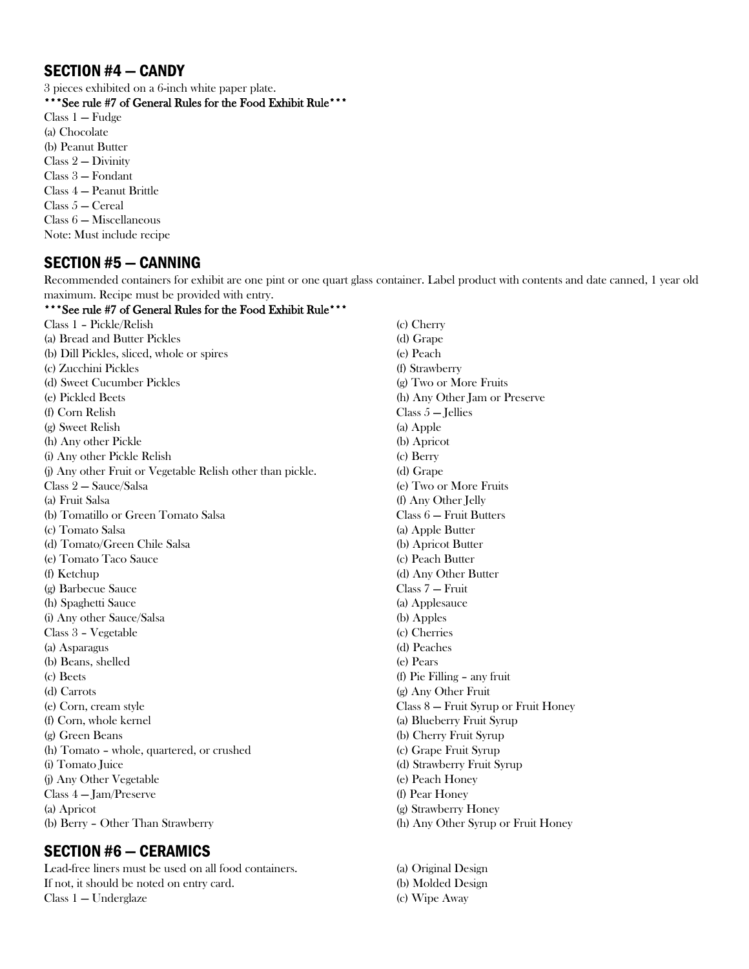### SECTION #4 — CANDY

3 pieces exhibited on a 6-inch white paper plate.

\*\*\*See rule #7 of General Rules for the Food Exhibit Rule\*\*\*

Class 1 — Fudge (a) Chocolate (b) Peanut Butter Class 2 — Divinity Class 3 — Fondant Class 4 — Peanut Brittle Class 5 — Cereal Class 6 — Miscellaneous Note: Must include recipe

### SECTION #5 — CANNING

Recommended containers for exhibit are one pint or one quart glass container. Label product with contents and date canned, 1 year old maximum. Recipe must be provided with entry.

\*\*\*See rule #7 of General Rules for the Food Exhibit Rule\*\*\* Class 1 – Pickle/Relish (a) Bread and Butter Pickles (b) Dill Pickles, sliced, whole or spires (c) Zucchini Pickles (d) Sweet Cucumber Pickles (e) Pickled Beets (f) Corn Relish (g) Sweet Relish (h) Any other Pickle (i) Any other Pickle Relish (j) Any other Fruit or Vegetable Relish other than pickle. Class 2 — Sauce/Salsa (a) Fruit Salsa (b) Tomatillo or Green Tomato Salsa (c) Tomato Salsa (d) Tomato/Green Chile Salsa (e) Tomato Taco Sauce (f) Ketchup (g) Barbecue Sauce (h) Spaghetti Sauce (i) Any other Sauce/Salsa Class 3 – Vegetable (a) Asparagus (b) Beans, shelled (c) Beets (d) Carrots (e) Corn, cream style (f) Corn, whole kernel (g) Green Beans (h) Tomato – whole, quartered, or crushed (i) Tomato Juice (j) Any Other Vegetable Class 4 — Jam/Preserve (a) Apricot (b) Berry – Other Than Strawberry (c) Cherry (d) Grape (e) Peach (f) Strawberry (a) Apple (b) Apricot (c) Berry (d) Grape Class 7 — Fruit (a) Applesauce (b) Apples (c) Cherries (d) Peaches (e) Pears (f) Pear Honey

### SECTION #6 — CERAMICS

Lead-free liners must be used on all food containers. If not, it should be noted on entry card. Class 1 — Underglaze

(g) Two or More Fruits (h) Any Other Jam or Preserve Class  $5$  – Jellies (e) Two or More Fruits (f) Any Other Jelly Class 6 — Fruit Butters (a) Apple Butter (b) Apricot Butter (c) Peach Butter (d) Any Other Butter (f) Pie Filling – any fruit (g) Any Other Fruit Class 8 — Fruit Syrup or Fruit Honey (a) Blueberry Fruit Syrup (b) Cherry Fruit Syrup (c) Grape Fruit Syrup (d) Strawberry Fruit Syrup (e) Peach Honey (g) Strawberry Honey (h) Any Other Syrup or Fruit Honey

(a) Original Design (b) Molded Design (c) Wipe Away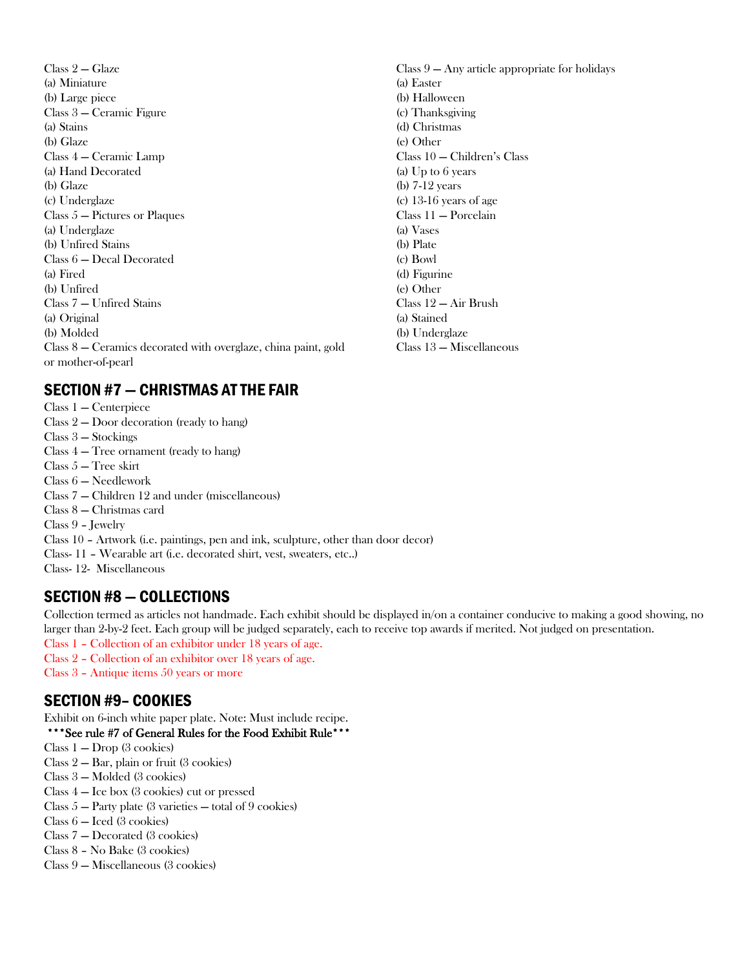Class 2 — Glaze (a) Miniature (b) Large piece Class 3 — Ceramic Figure (a) Stains (b) Glaze Class 4 — Ceramic Lamp (a) Hand Decorated (b) Glaze (c) Underglaze Class 5 — Pictures or Plaques (a) Underglaze (b) Unfired Stains Class 6 — Decal Decorated (a) Fired (b) Unfired Class 7 — Unfired Stains (a) Original (b) Molded Class 8 — Ceramics decorated with overglaze, china paint, gold or mother-of-pearl

#### (a) Easter (b) Halloween (c) Thanksgiving (d) Christmas (e) Other Class 10 — Children's Class (a) Up to 6 years (b) 7-12 years (c) 13-16 years of age Class 11 — Porcelain (a) Vases (b) Plate (c) Bowl (d) Figurine (e) Other Class 12 — Air Brush (a) Stained (b) Underglaze Class 13 — Miscellaneous

Class 9 — Any article appropriate for holidays

### SECTION #7 — CHRISTMAS AT THE FAIR

Class 1 — Centerpiece Class 2 — Door decoration (ready to hang) Class 3 — Stockings Class 4 — Tree ornament (ready to hang) Class 5 — Tree skirt Class 6 — Needlework Class 7 — Children 12 and under (miscellaneous) Class 8 — Christmas card Class 9 – Jewelry Class 10 – Artwork (i.e. paintings, pen and ink, sculpture, other than door decor) Class- 11 – Wearable art (i.e. decorated shirt, vest, sweaters, etc..) Class- 12- Miscellaneous

# SECTION #8 — COLLECTIONS

Collection termed as articles not handmade. Each exhibit should be displayed in/on a container conducive to making a good showing, no larger than 2-by-2 feet. Each group will be judged separately, each to receive top awards if merited. Not judged on presentation.

- Class 1 Collection of an exhibitor under 18 years of age.
- Class 2 Collection of an exhibitor over 18 years of age.
- Class 3 Antique items 50 years or more

# SECTION #9– COOKIES

Exhibit on 6-inch white paper plate. Note: Must include recipe.

#### \*\*\*See rule #7 of General Rules for the Food Exhibit Rule\*\*\*

- Class 1 Drop (3 cookies)
- Class 2 Bar, plain or fruit (3 cookies)
- Class 3 Molded (3 cookies)
- Class 4 Ice box (3 cookies) cut or pressed
- Class  $5 -$  Party plate (3 varieties  $-$  total of 9 cookies)
- Class 6 Iced (3 cookies)
- Class 7 Decorated (3 cookies)
- Class 8 No Bake (3 cookies)
- Class 9 Miscellaneous (3 cookies)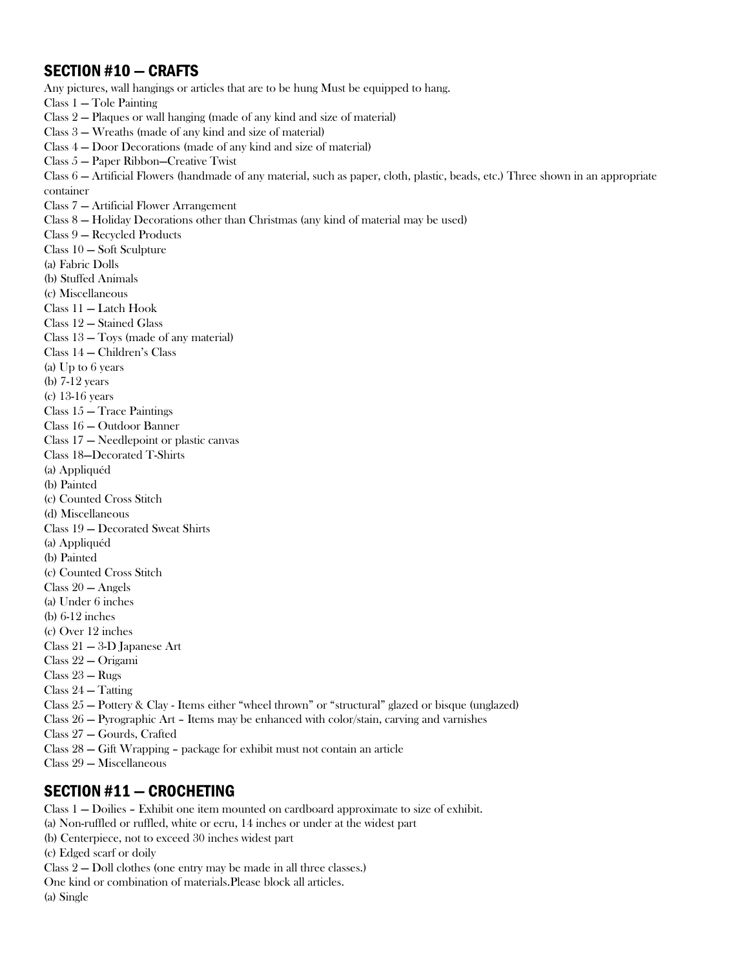### SECTION #10 — CRAFTS

Any pictures, wall hangings or articles that are to be hung Must be equipped to hang. Class 1 — Tole Painting Class 2 — Plaques or wall hanging (made of any kind and size of material) Class 3 — Wreaths (made of any kind and size of material) Class 4 — Door Decorations (made of any kind and size of material) Class 5 — Paper Ribbon—Creative Twist Class 6 — Artificial Flowers (handmade of any material, such as paper, cloth, plastic, beads, etc.) Three shown in an appropriate container Class 7 — Artificial Flower Arrangement Class 8 — Holiday Decorations other than Christmas (any kind of material may be used) Class 9 — Recycled Products Class 10 — Soft Sculpture (a) Fabric Dolls (b) Stuffed Animals (c) Miscellaneous Class 11 — Latch Hook Class 12 — Stained Glass Class 13 — Toys (made of any material) Class 14 — Children's Class (a) Up to 6 years (b) 7-12 years (c) 13-16 years Class 15 — Trace Paintings Class 16 — Outdoor Banner Class 17 — Needlepoint or plastic canvas Class 18—Decorated T-Shirts (a) Appliquéd (b) Painted (c) Counted Cross Stitch (d) Miscellaneous Class 19 — Decorated Sweat Shirts (a) Appliquéd (b) Painted

- (c) Counted Cross Stitch
- Class 20 Angels
- (a) Under 6 inches
- (b) 6-12 inches
- (c) Over 12 inches
- Class 21 3-D Japanese Art
- Class 22 Origami
- Class 23 Rugs
- Class 24 Tatting
- Class 25 Pottery & Clay Items either "wheel thrown" or "structural" glazed or bisque (unglazed)
- Class 26 Pyrographic Art Items may be enhanced with color/stain, carving and varnishes
- Class 27 Gourds, Crafted
- Class 28 Gift Wrapping package for exhibit must not contain an article
- Class 29 Miscellaneous

### SECTION #11 — CROCHETING

Class 1 — Doilies – Exhibit one item mounted on cardboard approximate to size of exhibit. (a) Non-ruffled or ruffled, white or ecru, 14 inches or under at the widest part (b) Centerpiece, not to exceed 30 inches widest part (c) Edged scarf or doily Class 2 — Doll clothes (one entry may be made in all three classes.) One kind or combination of materials.Please block all articles. (a) Single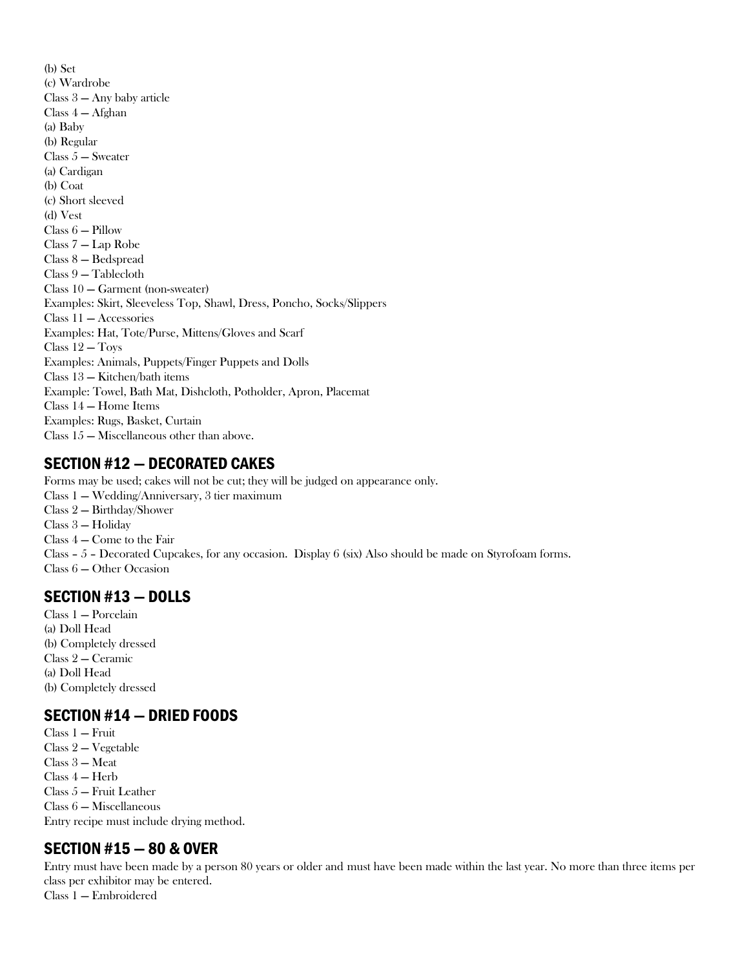(b) Set (c) Wardrobe Class 3 — Any baby article Class 4 — Afghan (a) Baby (b) Regular Class 5 — Sweater (a) Cardigan (b) Coat (c) Short sleeved (d) Vest Class 6 — Pillow Class 7 — Lap Robe Class 8 — Bedspread Class 9 — Tablecloth Class 10 — Garment (non-sweater) Examples: Skirt, Sleeveless Top, Shawl, Dress, Poncho, Socks/Slippers Class 11 — Accessories Examples: Hat, Tote/Purse, Mittens/Gloves and Scarf Class 12 — Toys Examples: Animals, Puppets/Finger Puppets and Dolls Class 13 — Kitchen/bath items Example: Towel, Bath Mat, Dishcloth, Potholder, Apron, Placemat Class 14 — Home Items Examples: Rugs, Basket, Curtain Class 15 — Miscellaneous other than above.

### SECTION #12 — DECORATED CAKES

Forms may be used; cakes will not be cut; they will be judged on appearance only. Class 1 — Wedding/Anniversary, 3 tier maximum Class 2 — Birthday/Shower Class 3 — Holiday Class 4 — Come to the Fair Class – 5 – Decorated Cupcakes, for any occasion. Display 6 (six) Also should be made on Styrofoam forms. Class 6 — Other Occasion

# SECTION #13 — DOLLS

Class 1 — Porcelain (a) Doll Head (b) Completely dressed Class 2 — Ceramic (a) Doll Head (b) Completely dressed

### SECTION #14 — DRIED FOODS

Class 1 — Fruit Class 2 — Vegetable Class 3 — Meat Class 4 — Herb Class 5 — Fruit Leather Class 6 — Miscellaneous Entry recipe must include drying method.

# SECTION #15 — 80 & OVER

Entry must have been made by a person 80 years or older and must have been made within the last year. No more than three items per class per exhibitor may be entered.

Class 1 — Embroidered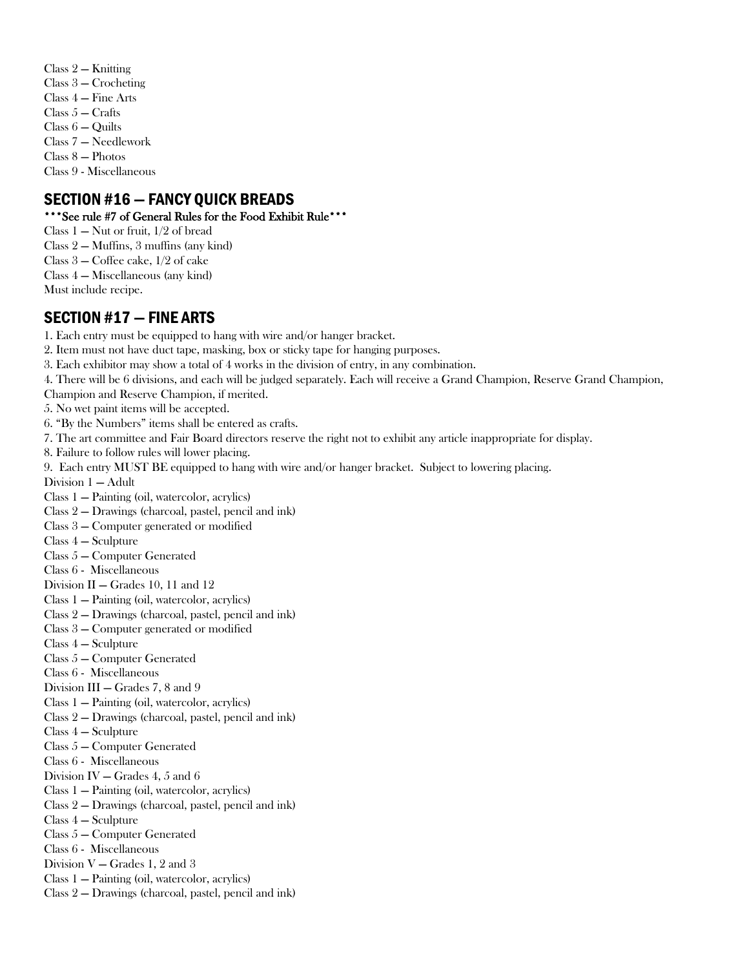- Class 2 Knitting
- Class 3 Crocheting
- Class 4 Fine Arts
- $Class 5 Crafts$
- Class 6 Quilts
- Class 7 Needlework
- Class 8 Photos

Class 9 - Miscellaneous

# SECTION #16 — FANCY QUICK BREADS

### \*\*\*See rule #7 of General Rules for the Food Exhibit Rule\*\*\*

- Class  $1 -$  Nut or fruit,  $1/2$  of bread
- Class 2 Muffins, 3 muffins (any kind)
- Class 3 Coffee cake, 1/2 of cake
- Class 4 Miscellaneous (any kind)
- Must include recipe.

# SECTION #17 — FINE ARTS

- 1. Each entry must be equipped to hang with wire and/or hanger bracket.
- 2. Item must not have duct tape, masking, box or sticky tape for hanging purposes.
- 3. Each exhibitor may show a total of 4 works in the division of entry, in any combination.
- 4. There will be 6 divisions, and each will be judged separately. Each will receive a Grand Champion, Reserve Grand Champion,
- Champion and Reserve Champion, if merited.
- 5. No wet paint items will be accepted.
- 6. "By the Numbers" items shall be entered as crafts.
- 7. The art committee and Fair Board directors reserve the right not to exhibit any article inappropriate for display.
- 8. Failure to follow rules will lower placing.
- 9. Each entry MUST BE equipped to hang with wire and/or hanger bracket. Subject to lowering placing.
- Division 1 Adult
- Class 1 Painting (oil, watercolor, acrylics)
- Class 2 Drawings (charcoal, pastel, pencil and ink)
- Class 3 Computer generated or modified
- Class 4 Sculpture
- Class 5 Computer Generated
- Class 6 Miscellaneous
- Division II Grades 10, 11 and 12
- Class 1 Painting (oil, watercolor, acrylics)
- Class 2 Drawings (charcoal, pastel, pencil and ink)
- Class 3 Computer generated or modified
- Class 4 Sculpture
- Class 5 Computer Generated
- Class 6 Miscellaneous
- Division III Grades 7, 8 and 9
- Class 1 Painting (oil, watercolor, acrylics)
- Class 2 Drawings (charcoal, pastel, pencil and ink)
- Class 4 Sculpture
- Class 5 Computer Generated
- Class 6 Miscellaneous
- Division IV Grades 4, 5 and 6
- Class 1 Painting (oil, watercolor, acrylics)
- Class 2 Drawings (charcoal, pastel, pencil and ink)
- Class 4 Sculpture
- Class 5 Computer Generated
- Class 6 Miscellaneous
- Division V Grades 1, 2 and 3
- Class 1 Painting (oil, watercolor, acrylics)
- Class 2 Drawings (charcoal, pastel, pencil and ink)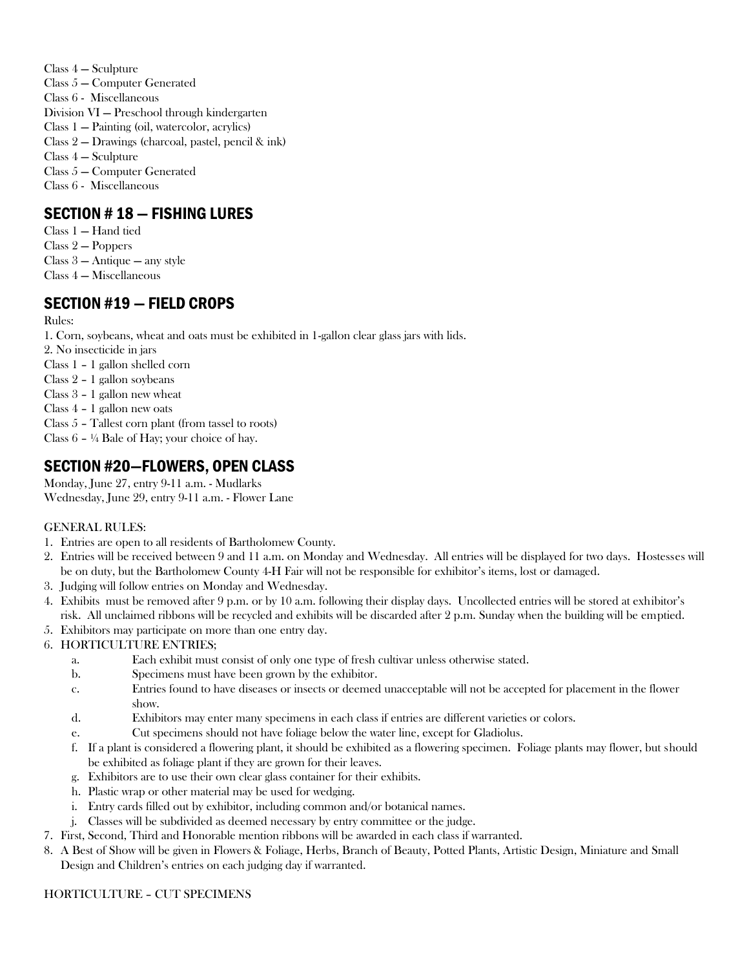Class 4 — Sculpture Class 5 — Computer Generated Class 6 - Miscellaneous Division VI — Preschool through kindergarten Class 1 — Painting (oil, watercolor, acrylics) Class 2 — Drawings (charcoal, pastel, pencil & ink) Class 4 — Sculpture Class 5 — Computer Generated Class 6 - Miscellaneous

# SECTION # 18 — FISHING LURES

- Class 1 Hand tied
- Class 2 Poppers
- Class 3 Antique any style
- Class 4 Miscellaneous

# SECTION #19 — FIELD CROPS

#### Rules:

1. Corn, soybeans, wheat and oats must be exhibited in 1-gallon clear glass jars with lids.

- 2. No insecticide in jars
- Class 1 1 gallon shelled corn
- Class 2 1 gallon soybeans
- Class 3 1 gallon new wheat
- Class 4 1 gallon new oats
- Class 5 Tallest corn plant (from tassel to roots)
- Class 6 ¼ Bale of Hay; your choice of hay.

# SECTION #20—FLOWERS, OPEN CLASS

Monday, June 27, entry 9-11 a.m. - Mudlarks Wednesday, June 29, entry 9-11 a.m. - Flower Lane

#### GENERAL RULES:

- 1. Entries are open to all residents of Bartholomew County.
- 2. Entries will be received between 9 and 11 a.m. on Monday and Wednesday. All entries will be displayed for two days. Hostesses will be on duty, but the Bartholomew County 4-H Fair will not be responsible for exhibitor's items, lost or damaged.
- 3. Judging will follow entries on Monday and Wednesday.
- 4. Exhibits must be removed after 9 p.m. or by 10 a.m. following their display days. Uncollected entries will be stored at exhibitor's risk. All unclaimed ribbons will be recycled and exhibits will be discarded after 2 p.m. Sunday when the building will be emptied.
- 5. Exhibitors may participate on more than one entry day.

### 6. HORTICULTURE ENTRIES;

- a. Each exhibit must consist of only one type of fresh cultivar unless otherwise stated.
- b. Specimens must have been grown by the exhibitor.
- c. Entries found to have diseases or insects or deemed unacceptable will not be accepted for placement in the flower show.
- d. Exhibitors may enter many specimens in each class if entries are different varieties or colors.
- e. Cut specimens should not have foliage below the water line, except for Gladiolus.
- f. If a plant is considered a flowering plant, it should be exhibited as a flowering specimen. Foliage plants may flower, but should be exhibited as foliage plant if they are grown for their leaves.
- g. Exhibitors are to use their own clear glass container for their exhibits.
- h. Plastic wrap or other material may be used for wedging.
- i. Entry cards filled out by exhibitor, including common and/or botanical names.
- j. Classes will be subdivided as deemed necessary by entry committee or the judge.
- 7. First, Second, Third and Honorable mention ribbons will be awarded in each class if warranted.
- 8. A Best of Show will be given in Flowers & Foliage, Herbs, Branch of Beauty, Potted Plants, Artistic Design, Miniature and Small Design and Children's entries on each judging day if warranted.

#### HORTICULTURE – CUT SPECIMENS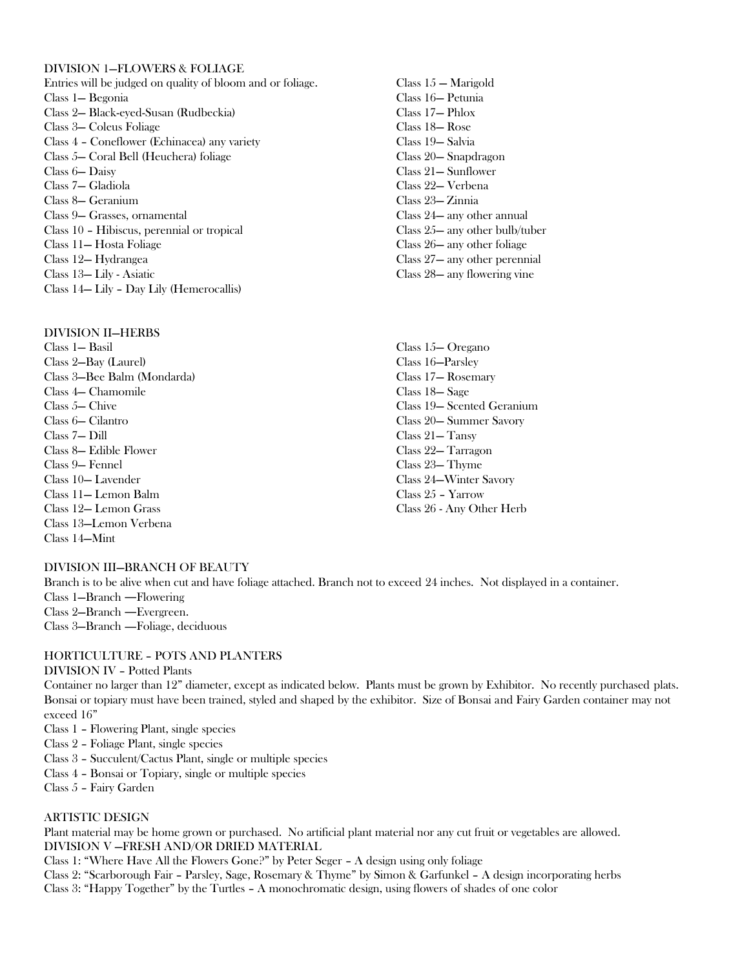#### DIVISION 1—FLOWERS & FOLIAGE

Entries will be judged on quality of bloom and or foliage. Class 1— Begonia Class 2— Black-eyed-Susan (Rudbeckia) Class 3— Coleus Foliage Class 4 – Coneflower (Echinacea) any variety Class 5— Coral Bell (Heuchera) foliage Class 6— Daisy Class 7— Gladiola Class 8— Geranium Class 9— Grasses, ornamental Class 10 – Hibiscus, perennial or tropical Class 11— Hosta Foliage Class 12— Hydrangea Class 13— Lily - Asiatic Class 14— Lily – Day Lily (Hemerocallis)

#### DIVISION II—HERBS

Class 1— Basil Class 2—Bay (Laurel) Class 3—Bee Balm (Mondarda) Class 4— Chamomile Class 5— Chive Class 6— Cilantro Class 7— Dill Class 8— Edible Flower Class 9— Fennel Class 10— Lavender Class 11— Lemon Balm Class 12— Lemon Grass Class 13—Lemon Verbena Class 14—Mint

- Class 15 Marigold Class 16— Petunia Class 17— Phlox Class 18— Rose Class 19— Salvia Class 20— Snapdragon Class 21— Sunflower Class 22— Verbena Class 23— Zinnia Class 24— any other annual Class 25— any other bulb/tuber Class 26— any other foliage Class 27— any other perennial Class 28— any flowering vine
- Class 15— Oregano Class 16—Parsley Class 17— Rosemary Class 18— Sage Class 19— Scented Geranium Class 20— Summer Savory Class 21— Tansy Class 22— Tarragon Class 23— Thyme Class 24—Winter Savory Class 25 – Yarrow Class 26 - Any Other Herb

#### DIVISION III—BRANCH OF BEAUTY

Branch is to be alive when cut and have foliage attached. Branch not to exceed 24 inches. Not displayed in a container. Class 1—Branch ―Flowering Class 2—Branch ―Evergreen. Class 3—Branch ―Foliage, deciduous

#### HORTICULTURE – POTS AND PLANTERS

#### DIVISION IV – Potted Plants

Container no larger than 12" diameter, except as indicated below. Plants must be grown by Exhibitor. No recently purchased plats. Bonsai or topiary must have been trained, styled and shaped by the exhibitor. Size of Bonsai and Fairy Garden container may not exceed 16"

- Class 1 Flowering Plant, single species
- Class 2 Foliage Plant, single species
- Class 3 Succulent/Cactus Plant, single or multiple species
- Class 4 Bonsai or Topiary, single or multiple species
- Class 5 Fairy Garden

#### ARTISTIC DESIGN

Plant material may be home grown or purchased. No artificial plant material nor any cut fruit or vegetables are allowed. DIVISION V —FRESH AND/OR DRIED MATERIAL

Class 1: "Where Have All the Flowers Gone?" by Peter Seger – A design using only foliage

Class 2: "Scarborough Fair – Parsley, Sage, Rosemary & Thyme" by Simon & Garfunkel – A design incorporating herbs Class 3: "Happy Together" by the Turtles – A monochromatic design, using flowers of shades of one color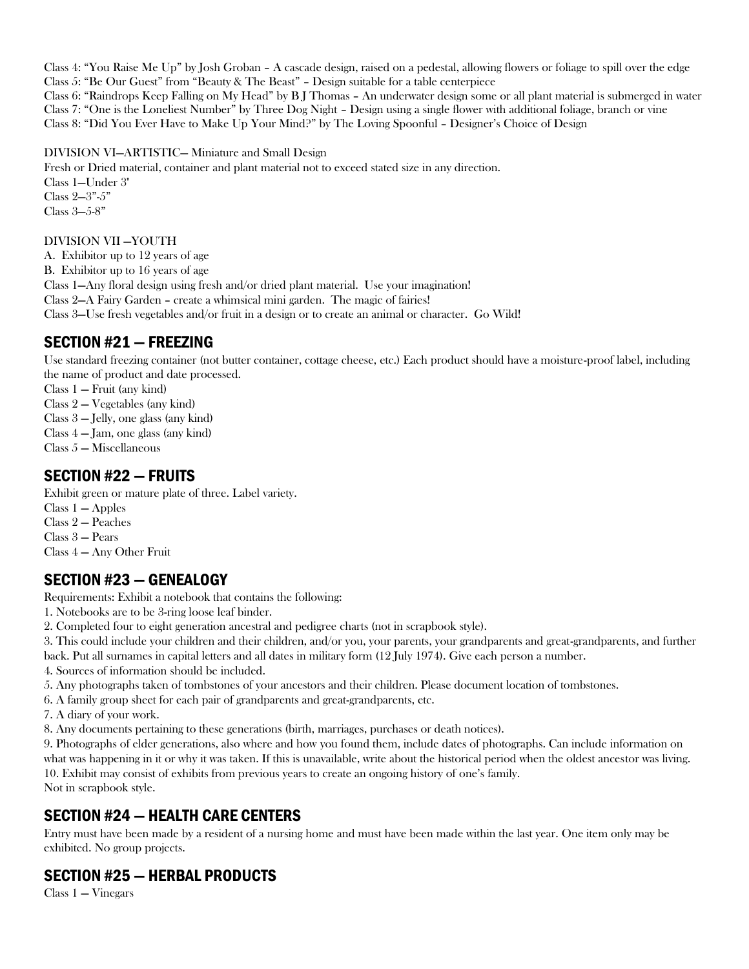Class 4: "You Raise Me Up" by Josh Groban – A cascade design, raised on a pedestal, allowing flowers or foliage to spill over the edge Class 5: "Be Our Guest" from "Beauty & The Beast" – Design suitable for a table centerpiece Class 6: "Raindrops Keep Falling on My Head" by B J Thomas – An underwater design some or all plant material is submerged in water Class 7: "One is the Loneliest Number" by Three Dog Night – Design using a single flower with additional foliage, branch or vine Class 8: "Did You Ever Have to Make Up Your Mind?" by The Loving Spoonful – Designer's Choice of Design

DIVISION VI—ARTISTIC— Miniature and Small Design

Fresh or Dried material, container and plant material not to exceed stated size in any direction. Class 1—Under 3" Class 2—3"-5" Class 3—5-8"

#### DIVISION VII —YOUTH

A. Exhibitor up to 12 years of age B. Exhibitor up to 16 years of age Class 1—Any floral design using fresh and/or dried plant material. Use your imagination! Class 2—A Fairy Garden – create a whimsical mini garden. The magic of fairies! Class 3—Use fresh vegetables and/or fruit in a design or to create an animal or character. Go Wild!

# SECTION #21 — FREEZING

Use standard freezing container (not butter container, cottage cheese, etc.) Each product should have a moisture-proof label, including the name of product and date processed.

Class 1 — Fruit (any kind)

- Class 2 Vegetables (any kind)
- Class 3 Jelly, one glass (any kind)
- Class 4 Jam, one glass (any kind)
- Class 5 Miscellaneous

# SECTION #22 — FRUITS

Exhibit green or mature plate of three. Label variety.

- Class 1 Apples
- Class 2 Peaches
- Class 3 Pears

Class 4 — Any Other Fruit

# SECTION #23 — GENEALOGY

Requirements: Exhibit a notebook that contains the following:

1. Notebooks are to be 3-ring loose leaf binder.

2. Completed four to eight generation ancestral and pedigree charts (not in scrapbook style).

3. This could include your children and their children, and/or you, your parents, your grandparents and great-grandparents, and further back. Put all surnames in capital letters and all dates in military form (12 July 1974). Give each person a number.

- 4. Sources of information should be included.
- 5. Any photographs taken of tombstones of your ancestors and their children. Please document location of tombstones.
- 6. A family group sheet for each pair of grandparents and great-grandparents, etc.
- 7. A diary of your work.

8. Any documents pertaining to these generations (birth, marriages, purchases or death notices).

9. Photographs of elder generations, also where and how you found them, include dates of photographs. Can include information on what was happening in it or why it was taken. If this is unavailable, write about the historical period when the oldest ancestor was living. 10. Exhibit may consist of exhibits from previous years to create an ongoing history of one's family. Not in scrapbook style.

# SECTION #24 — HEALTH CARE CENTERS

Entry must have been made by a resident of a nursing home and must have been made within the last year. One item only may be exhibited. No group projects.

# SECTION #25 — HERBAL PRODUCTS

Class 1 — Vinegars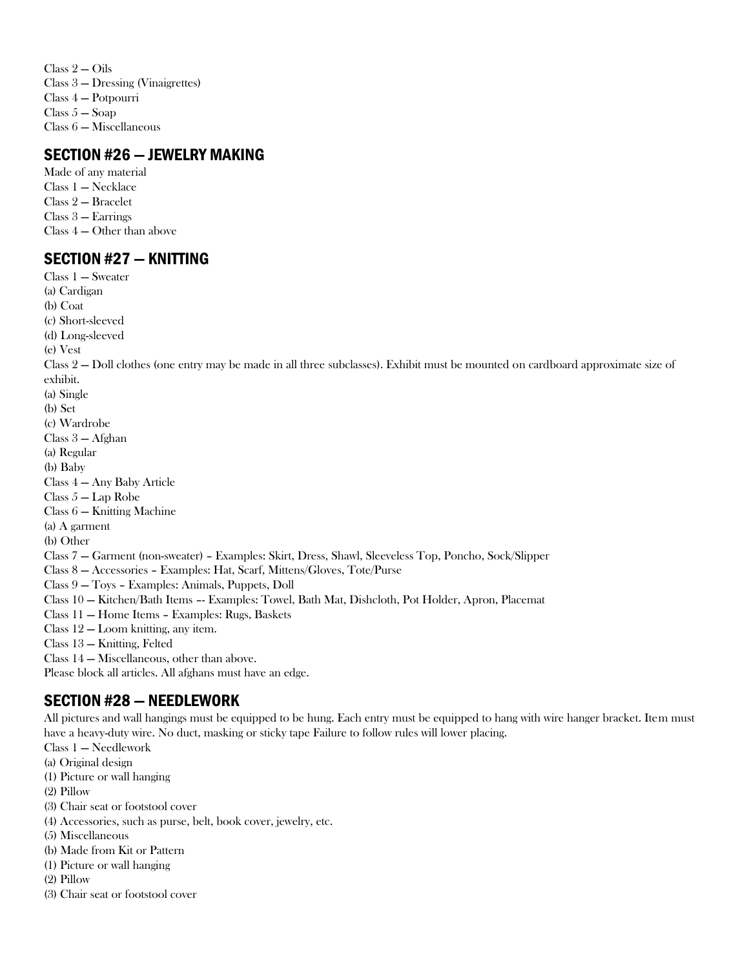Class 2 — Oils Class 3 — Dressing (Vinaigrettes) Class 4 — Potpourri Class  $5 -$ Soap Class 6 — Miscellaneous

### SECTION #26 — JEWELRY MAKING

Made of any material Class 1 — Necklace Class 2 — Bracelet Class 3 — Earrings Class 4 — Other than above

### SECTION #27 — KNITTING

Class 1 — Sweater (a) Cardigan (b) Coat (c) Short-sleeved (d) Long-sleeved (e) Vest Class 2 — Doll clothes (one entry may be made in all three subclasses). Exhibit must be mounted on cardboard approximate size of exhibit. (a) Single (b) Set (c) Wardrobe Class 3 — Afghan (a) Regular (b) Baby Class 4 — Any Baby Article Class 5 — Lap Robe Class 6 — Knitting Machine (a) A garment (b) Other Class 7 — Garment (non-sweater) – Examples: Skirt, Dress, Shawl, Sleeveless Top, Poncho, Sock/Slipper Class 8 — Accessories – Examples: Hat, Scarf, Mittens/Gloves, Tote/Purse Class 9 — Toys – Examples: Animals, Puppets, Doll Class 10 — Kitchen/Bath Items –- Examples: Towel, Bath Mat, Dishcloth, Pot Holder, Apron, Placemat Class 11 — Home Items – Examples: Rugs, Baskets Class 12 — Loom knitting, any item. Class 13 — Knitting, Felted Class 14 — Miscellaneous, other than above. Please block all articles. All afghans must have an edge.

# SECTION #28 — NEEDLEWORK

All pictures and wall hangings must be equipped to be hung. Each entry must be equipped to hang with wire hanger bracket. Item must have a heavy-duty wire. No duct, masking or sticky tape Failure to follow rules will lower placing.

Class 1 — Needlework

(a) Original design

(1) Picture or wall hanging

(2) Pillow

(3) Chair seat or footstool cover

(4) Accessories, such as purse, belt, book cover, jewelry, etc.

(5) Miscellaneous

(b) Made from Kit or Pattern

(1) Picture or wall hanging

(2) Pillow

(3) Chair seat or footstool cover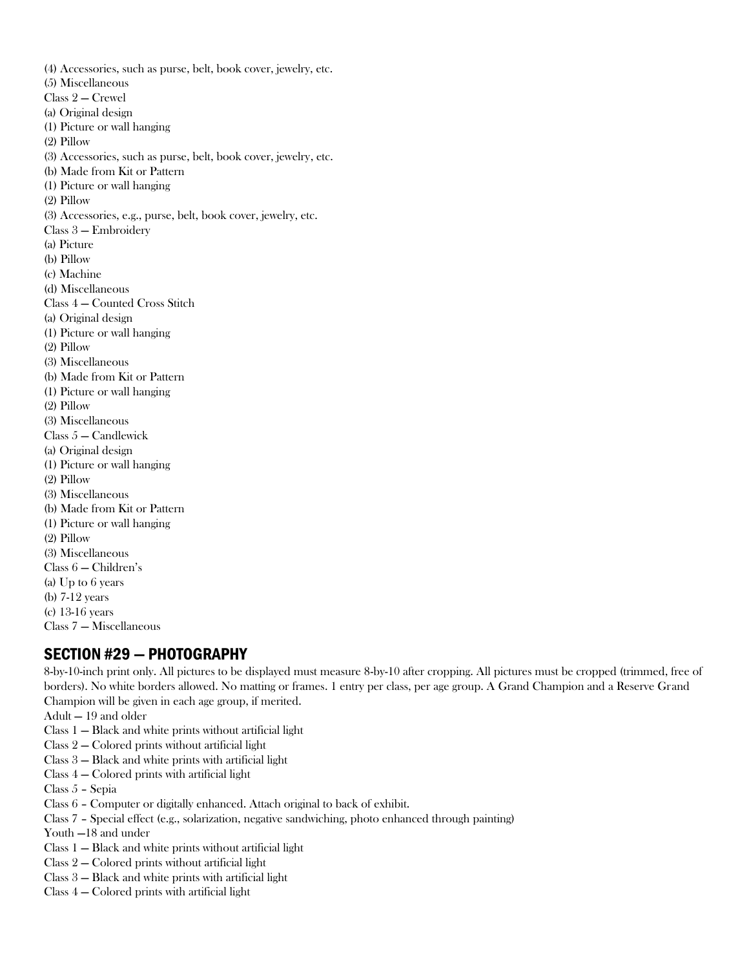(4) Accessories, such as purse, belt, book cover, jewelry, etc. (5) Miscellaneous Class 2 — Crewel (a) Original design (1) Picture or wall hanging (2) Pillow (3) Accessories, such as purse, belt, book cover, jewelry, etc. (b) Made from Kit or Pattern (1) Picture or wall hanging (2) Pillow (3) Accessories, e.g., purse, belt, book cover, jewelry, etc. Class 3 — Embroidery (a) Picture (b) Pillow (c) Machine (d) Miscellaneous Class 4 — Counted Cross Stitch (a) Original design (1) Picture or wall hanging (2) Pillow (3) Miscellaneous (b) Made from Kit or Pattern (1) Picture or wall hanging (2) Pillow (3) Miscellaneous Class 5 — Candlewick (a) Original design (1) Picture or wall hanging (2) Pillow (3) Miscellaneous (b) Made from Kit or Pattern (1) Picture or wall hanging (2) Pillow (3) Miscellaneous Class 6 — Children's (a) Up to 6 years (b) 7-12 years (c) 13-16 years Class 7 — Miscellaneous

# SECTION #29 — PHOTOGRAPHY

8-by-10-inch print only. All pictures to be displayed must measure 8-by-10 after cropping. All pictures must be cropped (trimmed, free of borders). No white borders allowed. No matting or frames. 1 entry per class, per age group. A Grand Champion and a Reserve Grand Champion will be given in each age group, if merited.

- Adult 19 and older
- Class 1 Black and white prints without artificial light
- Class 2 Colored prints without artificial light
- Class 3 Black and white prints with artificial light
- Class 4 Colored prints with artificial light
- Class 5 Sepia
- Class 6 Computer or digitally enhanced. Attach original to back of exhibit.
- Class 7 Special effect (e.g., solarization, negative sandwiching, photo enhanced through painting)
- Youth —18 and under
- Class 1 Black and white prints without artificial light
- Class 2 Colored prints without artificial light
- Class 3 Black and white prints with artificial light
- Class 4 Colored prints with artificial light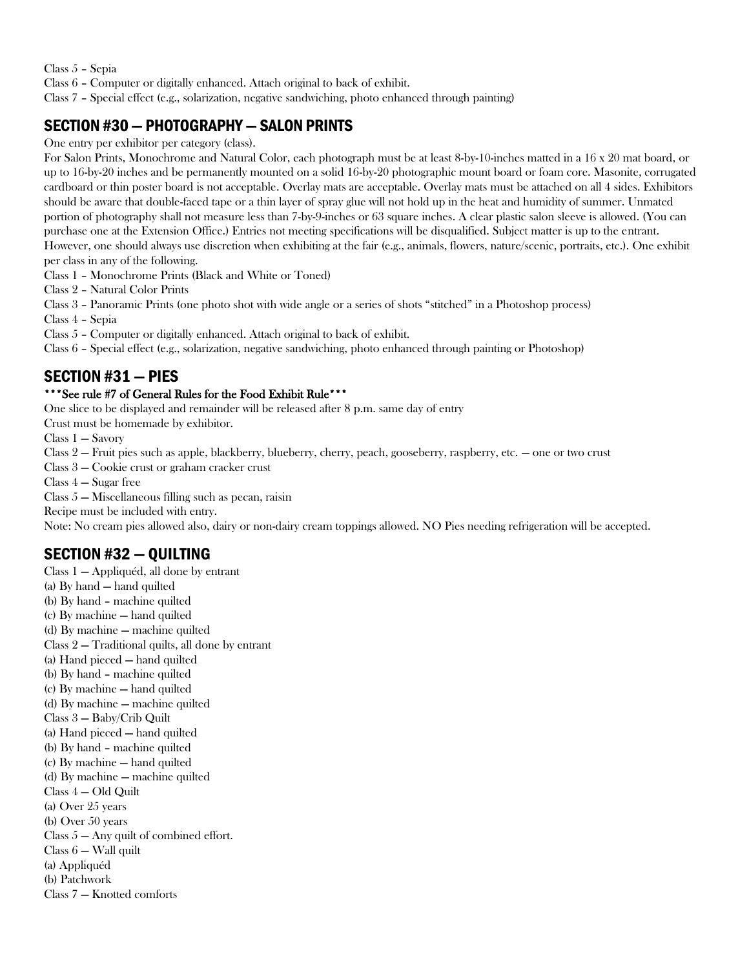Class 5 – Sepia

Class 6 – Computer or digitally enhanced. Attach original to back of exhibit.

Class 7 – Special effect (e.g., solarization, negative sandwiching, photo enhanced through painting)

# SECTION #30—PHOTOGRAPHY —SALON PRINTS

One entry per exhibitor per category (class).

For Salon Prints, Monochrome and Natural Color, each photograph must be at least 8-by-10-inches matted in a 16 x 20 mat board, or up to 16-by-20 inches and be permanently mounted on a solid 16-by-20 photographic mount board or foam core. Masonite, corrugated cardboard or thin poster board is not acceptable. Overlay mats are acceptable. Overlay mats must be attached on all 4 sides. Exhibitors should be aware that double-faced tape or a thin layer of spray glue will not hold up in the heat and humidity of summer. Unmated portion of photography shall not measure less than 7-by-9-inches or 63 square inches. A clear plastic salon sleeve is allowed. (You can purchase one at the Extension Office.) Entries not meeting specifications will be disqualified. Subject matter is up to the entrant. However, one should always use discretion when exhibiting at the fair (e.g., animals, flowers, nature/scenic, portraits, etc.). One exhibit per class in any of the following.

Class 1 – Monochrome Prints (Black and White or Toned)

Class 2 – Natural Color Prints

Class 3 – Panoramic Prints (one photo shot with wide angle or a series of shots "stitched" in a Photoshop process)

Class 4 – Sepia

Class 5 – Computer or digitally enhanced. Attach original to back of exhibit.

Class 6 – Special effect (e.g., solarization, negative sandwiching, photo enhanced through painting or Photoshop)

### SECTION #31 — PIES

#### \*\*\*See rule #7 of General Rules for the Food Exhibit Rule\*\*\*

One slice to be displayed and remainder will be released after 8 p.m. same day of entry

Crust must be homemade by exhibitor.

Class 1 — Savory

Class 2 — Fruit pies such as apple, blackberry, blueberry, cherry, peach, gooseberry, raspberry, etc. — one or two crust

Class 3 — Cookie crust or graham cracker crust

Class 4 — Sugar free

Class 5 — Miscellaneous filling such as pecan, raisin

Recipe must be included with entry.

Note: No cream pies allowed also, dairy or non-dairy cream toppings allowed. NO Pies needing refrigeration will be accepted.

# SECTION #32 — QUILTING

Class 1 — Appliquéd, all done by entrant (a) By hand — hand quilted (b) By hand – machine quilted (c) By machine — hand quilted (d) By machine — machine quilted Class 2 — Traditional quilts, all done by entrant (a) Hand pieced — hand quilted (b) By hand – machine quilted (c) By machine — hand quilted (d) By machine — machine quilted Class 3 — Baby/Crib Quilt (a) Hand pieced — hand quilted (b) By hand – machine quilted (c) By machine — hand quilted (d) By machine — machine quilted Class 4 — Old Quilt (a) Over 25 years (b) Over 50 years Class  $5 - Any$  quilt of combined effort. Class 6 — Wall quilt (a) Appliquéd (b) Patchwork Class 7 — Knotted comforts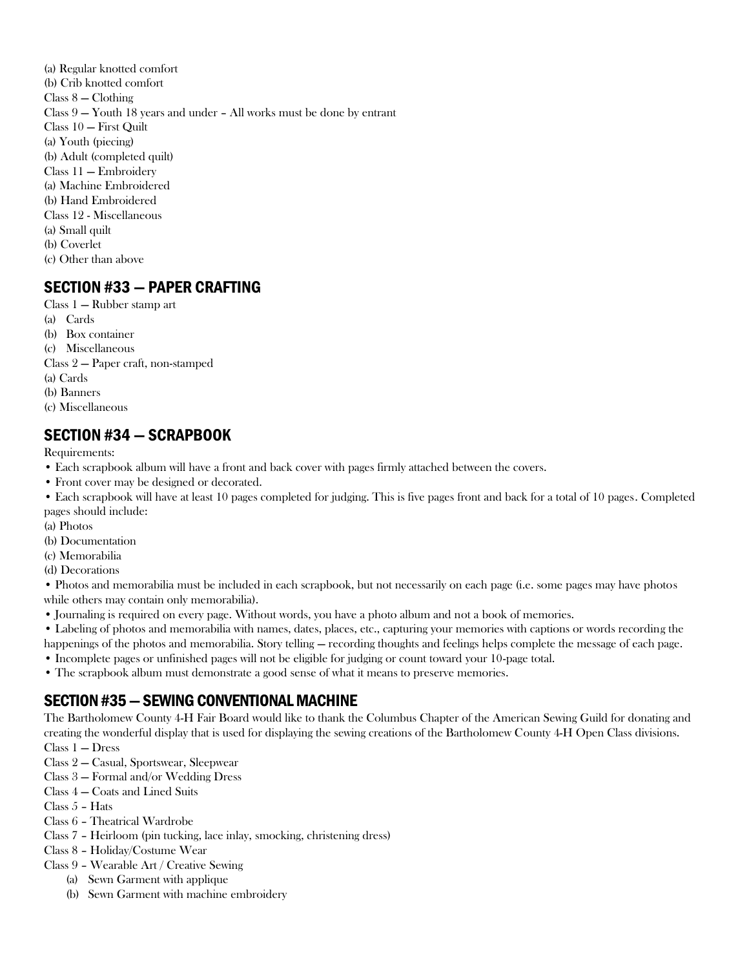(a) Regular knotted comfort (b) Crib knotted comfort Class 8 — Clothing Class 9 — Youth 18 years and under – All works must be done by entrant Class 10 — First Quilt (a) Youth (piecing) (b) Adult (completed quilt) Class 11 — Embroidery (a) Machine Embroidered (b) Hand Embroidered Class 12 - Miscellaneous (a) Small quilt (b) Coverlet (c) Other than above

# SECTION #33 — PAPER CRAFTING

Class 1 — Rubber stamp art (a) Cards (b) Box container (c) Miscellaneous Class 2 — Paper craft, non-stamped (a) Cards (b) Banners (c) Miscellaneous

# SECTION #34 — SCRAPBOOK

Requirements:

- Each scrapbook album will have a front and back cover with pages firmly attached between the covers.
- Front cover may be designed or decorated.

• Each scrapbook will have at least 10 pages completed for judging. This is five pages front and back for a total of 10 pages. Completed pages should include:

- (a) Photos
- (b) Documentation
- (c) Memorabilia

(d) Decorations

• Photos and memorabilia must be included in each scrapbook, but not necessarily on each page (i.e. some pages may have photos while others may contain only memorabilia).

- Journaling is required on every page. Without words, you have a photo album and not a book of memories.
- Labeling of photos and memorabilia with names, dates, places, etc., capturing your memories with captions or words recording the happenings of the photos and memorabilia. Story telling — recording thoughts and feelings helps complete the message of each page.
- Incomplete pages or unfinished pages will not be eligible for judging or count toward your 10-page total.
- The scrapbook album must demonstrate a good sense of what it means to preserve memories.

# SECTION #35—SEWING CONVENTIONAL MACHINE

The Bartholomew County 4-H Fair Board would like to thank the Columbus Chapter of the American Sewing Guild for donating and creating the wonderful display that is used for displaying the sewing creations of the Bartholomew County 4-H Open Class divisions.

- Class 1 Dress
- Class 2 Casual, Sportswear, Sleepwear
- Class 3 Formal and/or Wedding Dress
- Class 4 Coats and Lined Suits
- Class 5 Hats
- Class 6 Theatrical Wardrobe
- Class 7 Heirloom (pin tucking, lace inlay, smocking, christening dress)
- Class 8 Holiday/Costume Wear
- Class 9 Wearable Art / Creative Sewing
	- (a) Sewn Garment with applique
	- (b) Sewn Garment with machine embroidery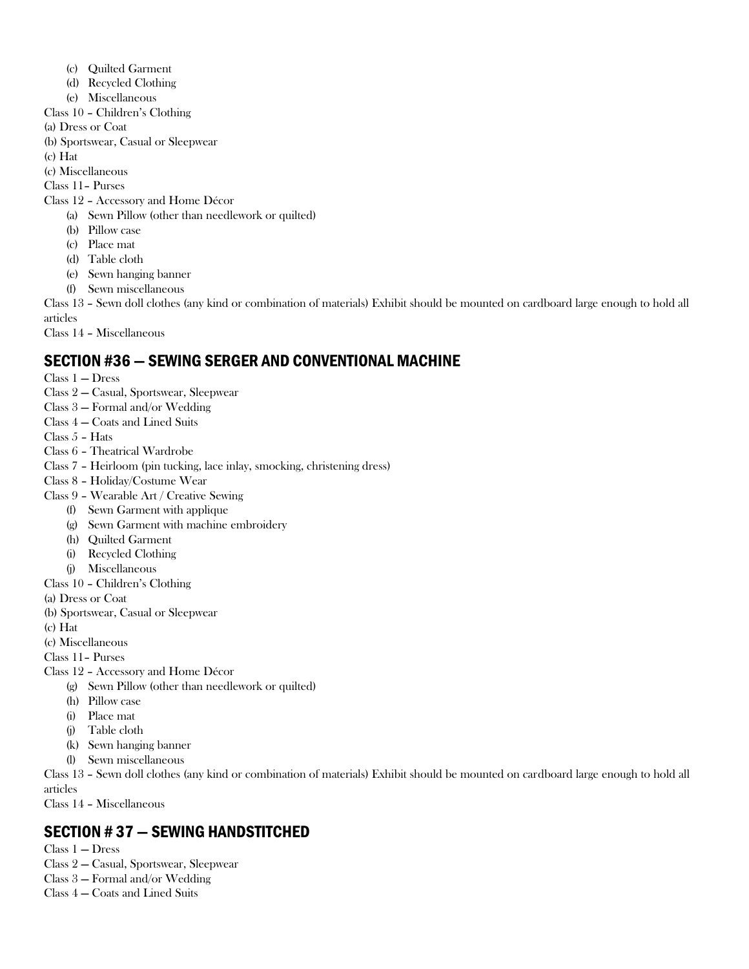- (c) Quilted Garment
- (d) Recycled Clothing
- (e) Miscellaneous
- Class 10 Children's Clothing
- (a) Dress or Coat
- (b) Sportswear, Casual or Sleepwear
- (c) Hat
- (c) Miscellaneous

Class 11– Purses

- Class 12 Accessory and Home Décor
	- (a) Sewn Pillow (other than needlework or quilted)
		- (b) Pillow case
		- (c) Place mat
		- (d) Table cloth
		- (e) Sewn hanging banner
		- (f) Sewn miscellaneous

Class 13 – Sewn doll clothes (any kind or combination of materials) Exhibit should be mounted on cardboard large enough to hold all articles

Class 14 – Miscellaneous

# SECTION #36 — SEWING SERGER AND CONVENTIONAL MACHINE

- Class 1 Dress
- Class 2 Casual, Sportswear, Sleepwear
- Class 3 Formal and/or Wedding
- Class 4 Coats and Lined Suits
- Class 5 Hats
- Class 6 Theatrical Wardrobe
- Class 7 Heirloom (pin tucking, lace inlay, smocking, christening dress)
- Class 8 Holiday/Costume Wear
- Class 9 Wearable Art / Creative Sewing
	- (f) Sewn Garment with applique
	- (g) Sewn Garment with machine embroidery
	- (h) Quilted Garment
	- (i) Recycled Clothing
	- (j) Miscellaneous
- Class 10 Children's Clothing
- (a) Dress or Coat
- (b) Sportswear, Casual or Sleepwear
- (c) Hat
- (c) Miscellaneous
- Class 11– Purses
- Class 12 Accessory and Home Décor
	- (g) Sewn Pillow (other than needlework or quilted)
	- (h) Pillow case
	- (i) Place mat
	- (j) Table cloth
	- (k) Sewn hanging banner
	- (l) Sewn miscellaneous

Class 13 – Sewn doll clothes (any kind or combination of materials) Exhibit should be mounted on cardboard large enough to hold all articles

Class 14 – Miscellaneous

# SECTION # 37 — SEWING HANDSTITCHED

- Class 1 Dress
- Class 2 Casual, Sportswear, Sleepwear
- Class 3 Formal and/or Wedding
- Class 4 Coats and Lined Suits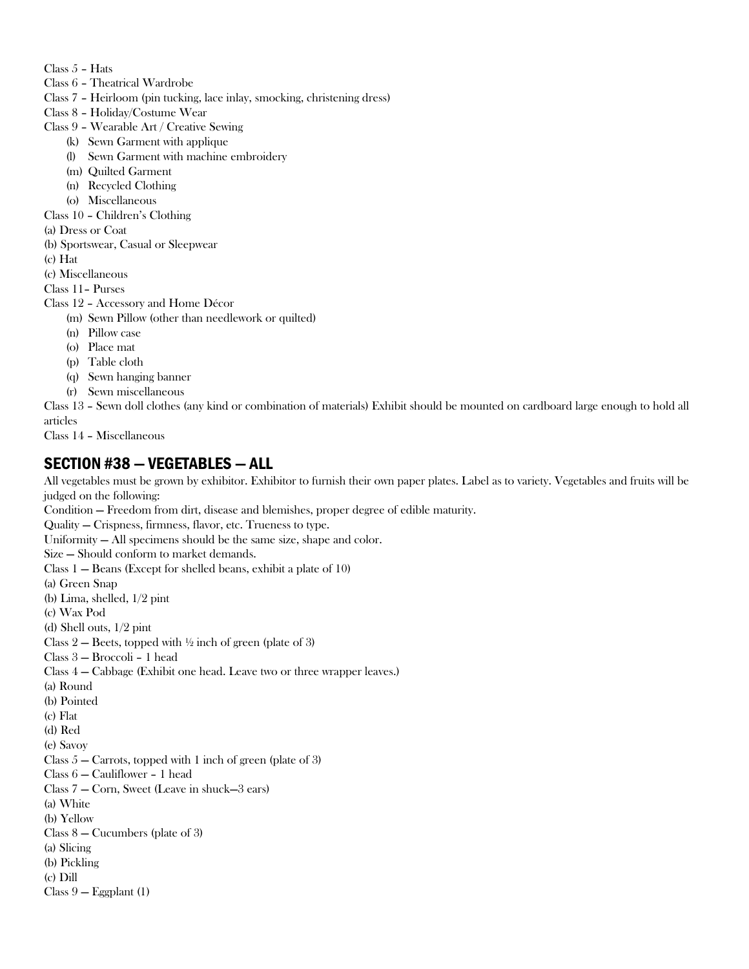- Class 5 Hats
- Class 6 Theatrical Wardrobe
- Class 7 Heirloom (pin tucking, lace inlay, smocking, christening dress)
- Class 8 Holiday/Costume Wear
- Class 9 Wearable Art / Creative Sewing
	- (k) Sewn Garment with applique
	- (l) Sewn Garment with machine embroidery
	- (m) Quilted Garment
	- (n) Recycled Clothing
	- (o) Miscellaneous
- Class 10 Children's Clothing
- (a) Dress or Coat
- (b) Sportswear, Casual or Sleepwear
- (c) Hat
- (c) Miscellaneous
- Class 11– Purses

#### Class 12 – Accessory and Home Décor

- (m) Sewn Pillow (other than needlework or quilted)
	- (n) Pillow case
	- (o) Place mat
	- (p) Table cloth
	- (q) Sewn hanging banner
	- (r) Sewn miscellaneous

Class 13 – Sewn doll clothes (any kind or combination of materials) Exhibit should be mounted on cardboard large enough to hold all articles

Class 14 – Miscellaneous

### SECTION #38 — VEGETABLES — ALL

All vegetables must be grown by exhibitor. Exhibitor to furnish their own paper plates. Label as to variety. Vegetables and fruits will be judged on the following: Condition — Freedom from dirt, disease and blemishes, proper degree of edible maturity. Quality — Crispness, firmness, flavor, etc. Trueness to type. Uniformity — All specimens should be the same size, shape and color.

Size — Should conform to market demands.

Class 1 — Beans (Except for shelled beans, exhibit a plate of 10)

(a) Green Snap

(b) Lima, shelled, 1/2 pint

- (c) Wax Pod
- (d) Shell outs, 1/2 pint

Class 2 – Beets, topped with  $\frac{1}{2}$  inch of green (plate of 3)

Class 3 — Broccoli – 1 head

Class 4 — Cabbage (Exhibit one head. Leave two or three wrapper leaves.)

- (a) Round
- (b) Pointed
- (c) Flat
- (d) Red
- (e) Savoy

Class  $5 -$  Carrots, topped with 1 inch of green (plate of 3)

Class 6 — Cauliflower – 1 head

Class 7 — Corn, Sweet (Leave in shuck—3 ears)

- (a) White
- (b) Yellow
- Class 8 Cucumbers (plate of 3)
- (a) Slicing
- (b) Pickling
- (c) Dill
- Class 9 Eggplant (1)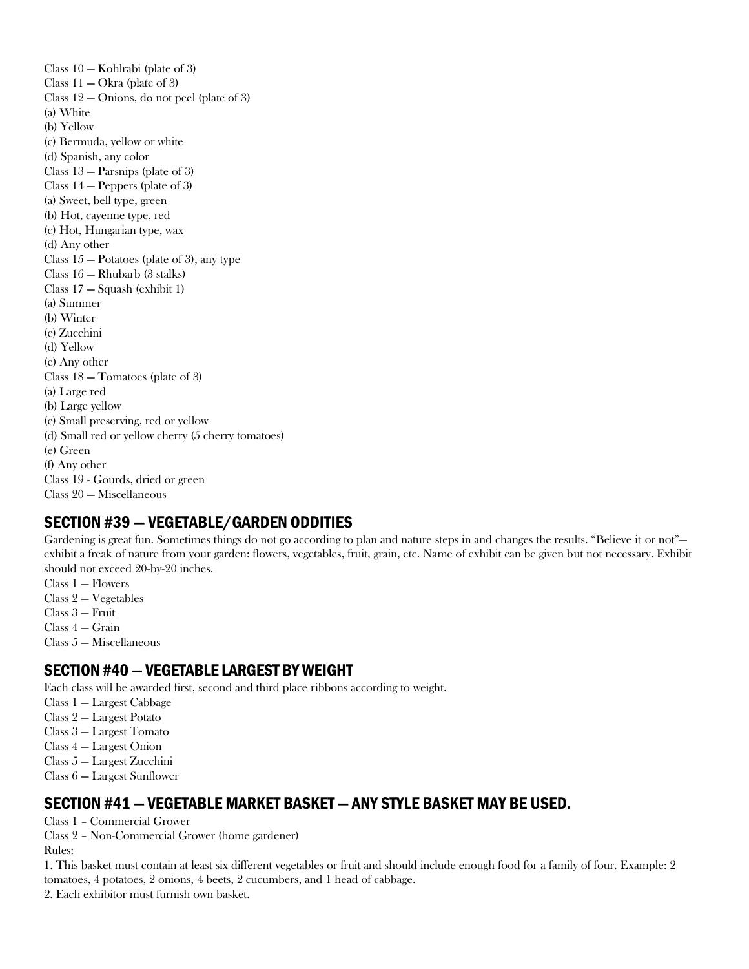Class 10 — Kohlrabi (plate of 3) Class  $11 - \text{Okra}$  (plate of 3) Class 12 — Onions, do not peel (plate of 3) (a) White (b) Yellow (c) Bermuda, yellow or white (d) Spanish, any color Class 13 — Parsnips (plate of 3) Class 14 — Peppers (plate of 3) (a) Sweet, bell type, green (b) Hot, cayenne type, red (c) Hot, Hungarian type, wax (d) Any other Class  $15 -$  Potatoes (plate of 3), any type Class 16 — Rhubarb (3 stalks) Class 17 — Squash (exhibit 1) (a) Summer (b) Winter (c) Zucchini (d) Yellow (e) Any other Class 18 — Tomatoes (plate of 3) (a) Large red (b) Large yellow (c) Small preserving, red or yellow (d) Small red or yellow cherry (5 cherry tomatoes) (e) Green (f) Any other Class 19 - Gourds, dried or green Class 20 — Miscellaneous

# SECTION #39 — VEGETABLE/GARDEN ODDITIES

Gardening is great fun. Sometimes things do not go according to plan and nature steps in and changes the results. "Believe it or not" exhibit a freak of nature from your garden: flowers, vegetables, fruit, grain, etc. Name of exhibit can be given but not necessary. Exhibit should not exceed 20-by-20 inches.

- Class 1 Flowers
- Class 2 Vegetables
- Class 3 Fruit
- Class 4 Grain
- Class 5 Miscellaneous

### SECTION #40—VEGETABLE LARGEST BY WEIGHT

Each class will be awarded first, second and third place ribbons according to weight.

- Class 1 Largest Cabbage
- Class 2 Largest Potato
- Class 3 Largest Tomato
- Class 4 Largest Onion
- Class 5 Largest Zucchini
- Class 6 Largest Sunflower

### SECTION #41 —VEGETABLE MARKET BASKET —ANY STYLE BASKET MAY BE USED.

Class 1 – Commercial Grower

Class 2 – Non-Commercial Grower (home gardener) Rules:

1. This basket must contain at least six different vegetables or fruit and should include enough food for a family of four. Example: 2 tomatoes, 4 potatoes, 2 onions, 4 beets, 2 cucumbers, and 1 head of cabbage.

2. Each exhibitor must furnish own basket.